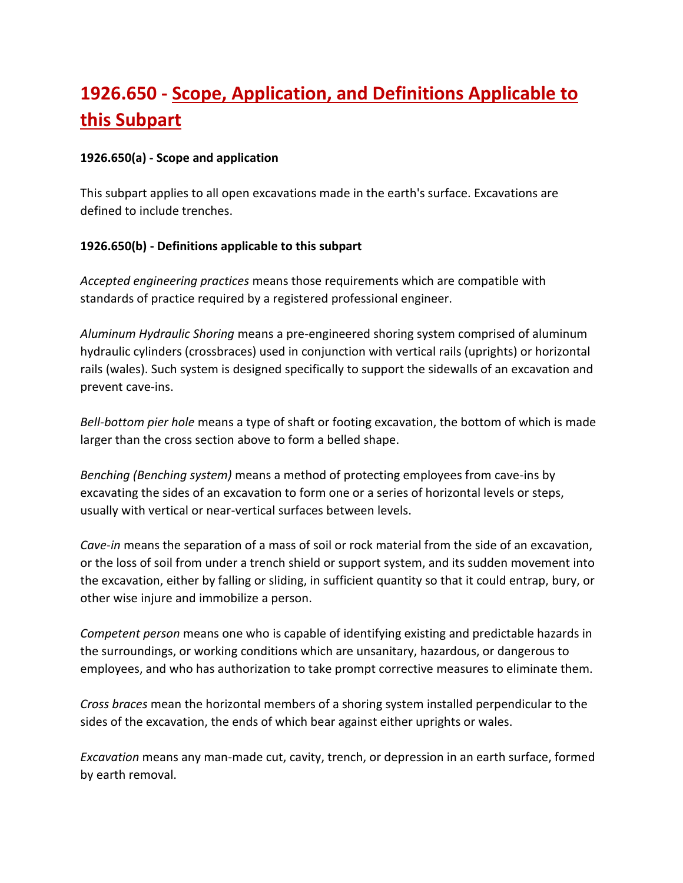## **1926.650 - Scope, Application, and Definitions Applicable to this Subpart**

## **1926.650(a) - Scope and application**

This subpart applies to all open excavations made in the earth's surface. Excavations are defined to include trenches.

## **1926.650(b) - Definitions applicable to this subpart**

*Accepted engineering practices* means those requirements which are compatible with standards of practice required by a registered professional engineer.

*Aluminum Hydraulic Shoring* means a pre-engineered shoring system comprised of aluminum hydraulic cylinders (crossbraces) used in conjunction with vertical rails (uprights) or horizontal rails (wales). Such system is designed specifically to support the sidewalls of an excavation and prevent cave-ins.

*Bell-bottom pier hole* means a type of shaft or footing excavation, the bottom of which is made larger than the cross section above to form a belled shape.

*Benching (Benching system)* means a method of protecting employees from cave-ins by excavating the sides of an excavation to form one or a series of horizontal levels or steps, usually with vertical or near-vertical surfaces between levels.

*Cave-in* means the separation of a mass of soil or rock material from the side of an excavation, or the loss of soil from under a trench shield or support system, and its sudden movement into the excavation, either by falling or sliding, in sufficient quantity so that it could entrap, bury, or other wise injure and immobilize a person.

*Competent person* means one who is capable of identifying existing and predictable hazards in the surroundings, or working conditions which are unsanitary, hazardous, or dangerous to employees, and who has authorization to take prompt corrective measures to eliminate them.

*Cross braces* mean the horizontal members of a shoring system installed perpendicular to the sides of the excavation, the ends of which bear against either uprights or wales.

*Excavation* means any man-made cut, cavity, trench, or depression in an earth surface, formed by earth removal.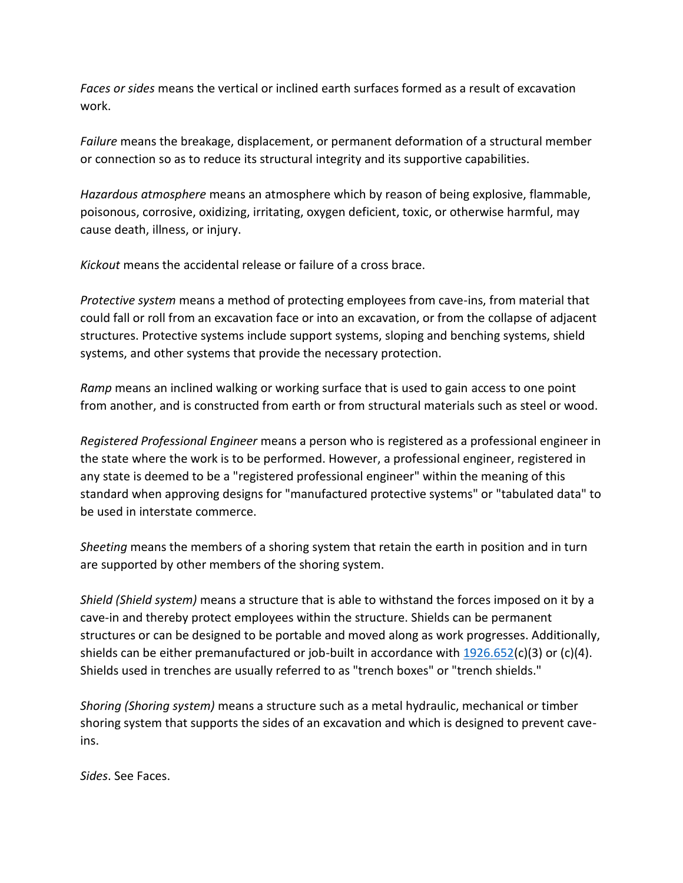*Faces or sides* means the vertical or inclined earth surfaces formed as a result of excavation work.

*Failure* means the breakage, displacement, or permanent deformation of a structural member or connection so as to reduce its structural integrity and its supportive capabilities.

*Hazardous atmosphere* means an atmosphere which by reason of being explosive, flammable, poisonous, corrosive, oxidizing, irritating, oxygen deficient, toxic, or otherwise harmful, may cause death, illness, or injury.

*Kickout* means the accidental release or failure of a cross brace.

*Protective system* means a method of protecting employees from cave-ins, from material that could fall or roll from an excavation face or into an excavation, or from the collapse of adjacent structures. Protective systems include support systems, sloping and benching systems, shield systems, and other systems that provide the necessary protection.

*Ramp* means an inclined walking or working surface that is used to gain access to one point from another, and is constructed from earth or from structural materials such as steel or wood.

*Registered Professional Engineer* means a person who is registered as a professional engineer in the state where the work is to be performed. However, a professional engineer, registered in any state is deemed to be a "registered professional engineer" within the meaning of this standard when approving designs for "manufactured protective systems" or "tabulated data" to be used in interstate commerce.

*Sheeting* means the members of a shoring system that retain the earth in position and in turn are supported by other members of the shoring system.

*Shield (Shield system)* means a structure that is able to withstand the forces imposed on it by a cave-in and thereby protect employees within the structure. Shields can be permanent structures or can be designed to be portable and moved along as work progresses. Additionally, shields can be either premanufactured or job-built in accordance with [1926.652\(](https://up.codes/viewer/osha-1926-construction/chapter/P/excavations#1926.652)c)(3) or (c)(4). Shields used in trenches are usually referred to as "trench boxes" or "trench shields."

*Shoring (Shoring system)* means a structure such as a metal hydraulic, mechanical or timber shoring system that supports the sides of an excavation and which is designed to prevent caveins.

*Sides*. See Faces.